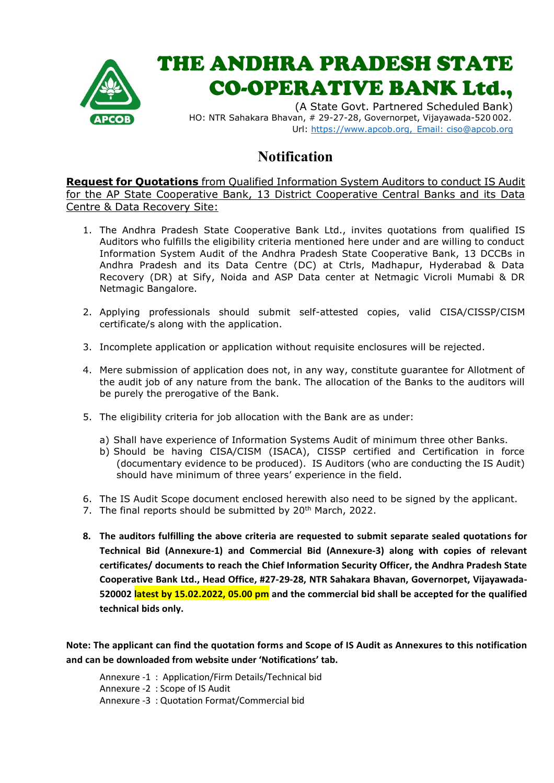

## THE ANDHRA PRADESH STATE CO-OPERATIVE BANK Ltd.,

(A State Govt. Partnered Scheduled Bank) HO: NTR Sahakara Bhavan, # 29-27-28, Governorpet, Vijayawada-520 002. Url: https://www.apcob.org, [Email: ciso@apcob.org](mailto:Email:%20ciso@apcob.org)

## **Notification**

**Request for Quotations** from Qualified Information System Auditors to conduct IS Audit for the AP State Cooperative Bank, 13 District Cooperative Central Banks and its Data Centre & Data Recovery Site:

- 1. The Andhra Pradesh State Cooperative Bank Ltd., invites quotations from qualified IS Auditors who fulfills the eligibility criteria mentioned here under and are willing to conduct Information System Audit of the Andhra Pradesh State Cooperative Bank, 13 DCCBs in Andhra Pradesh and its Data Centre (DC) at Ctrls, Madhapur, Hyderabad & Data Recovery (DR) at Sify, Noida and ASP Data center at Netmagic Vicroli Mumabi & DR Netmagic Bangalore.
- 2. Applying professionals should submit self-attested copies, valid CISA/CISSP/CISM certificate/s along with the application.
- 3. Incomplete application or application without requisite enclosures will be rejected.
- 4. Mere submission of application does not, in any way, constitute guarantee for Allotment of the audit job of any nature from the bank. The allocation of the Banks to the auditors will be purely the prerogative of the Bank.
- 5. The eligibility criteria for job allocation with the Bank are as under:
	- a) Shall have experience of Information Systems Audit of minimum three other Banks.
	- b) Should be having CISA/CISM (ISACA), CISSP certified and Certification in force (documentary evidence to be produced). IS Auditors (who are conducting the IS Audit) should have minimum of three years' experience in the field.
- 6. The IS Audit Scope document enclosed herewith also need to be signed by the applicant.
- 7. The final reports should be submitted by 20<sup>th</sup> March, 2022.
- **8. The auditors fulfilling the above criteria are requested to submit separate sealed quotations for Technical Bid (Annexure-1) and Commercial Bid (Annexure-3) along with copies of relevant certificates/ documents to reach the Chief Information Security Officer, the Andhra Pradesh State Cooperative Bank Ltd., Head Office, #27-29-28, NTR Sahakara Bhavan, Governorpet, Vijayawada-520002 latest by 15.02.2022, 05.00 pm and the commercial bid shall be accepted for the qualified technical bids only.**

**Note: The applicant can find the quotation forms and Scope of IS Audit as Annexures to this notification and can be downloaded from website under 'Notifications' tab.**

Annexure -1 : Application/Firm Details/Technical bid Annexure -2 : Scope of IS Audit Annexure -3 : Quotation Format/Commercial bid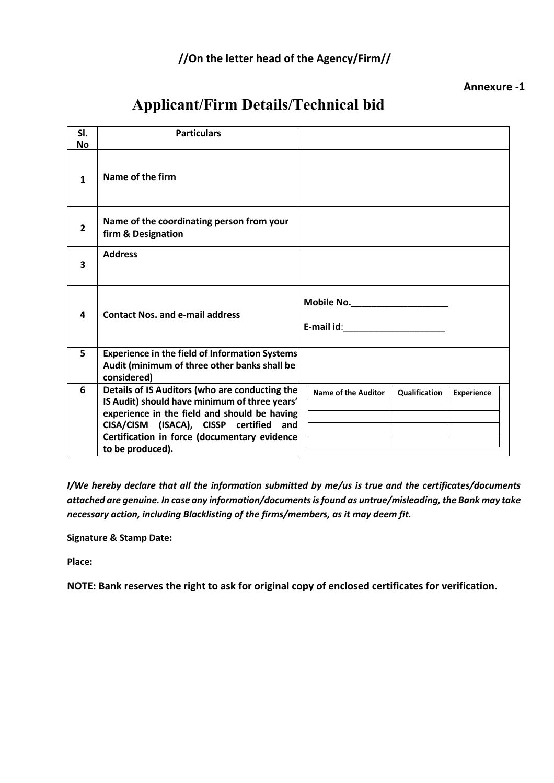### **//On the letter head of the Agency/Firm//**

#### **Annexure -1**

## **Applicant/Firm Details/Technical bid**

| SI.<br><b>No</b> | <b>Particulars</b>                                                                                                                                                                                                                                            |                                                                                                                |
|------------------|---------------------------------------------------------------------------------------------------------------------------------------------------------------------------------------------------------------------------------------------------------------|----------------------------------------------------------------------------------------------------------------|
| $\mathbf{1}$     | Name of the firm                                                                                                                                                                                                                                              |                                                                                                                |
| $\overline{2}$   | Name of the coordinating person from your<br>firm & Designation                                                                                                                                                                                               |                                                                                                                |
| 3                | <b>Address</b>                                                                                                                                                                                                                                                |                                                                                                                |
| 4                | <b>Contact Nos. and e-mail address</b>                                                                                                                                                                                                                        | E-mail id: with the state of the state of the state of the state of the state of the state of the state of the |
| 5                | Experience in the field of Information Systems<br>Audit (minimum of three other banks shall be<br>considered)                                                                                                                                                 |                                                                                                                |
| 6                | Details of IS Auditors (who are conducting the<br>IS Audit) should have minimum of three years'<br>experience in the field and should be having<br>CISA/CISM (ISACA), CISSP certified and<br>Certification in force (documentary evidence<br>to be produced). | Name of the Auditor<br>Qualification<br><b>Experience</b>                                                      |

*I/We hereby declare that all the information submitted by me/us is true and the certificates/documents attached are genuine. In case any information/documents is found as untrue/misleading, the Bank may take necessary action, including Blacklisting of the firms/members, as it may deem fit.* 

**Signature & Stamp Date:** 

**Place:** 

**NOTE: Bank reserves the right to ask for original copy of enclosed certificates for verification.**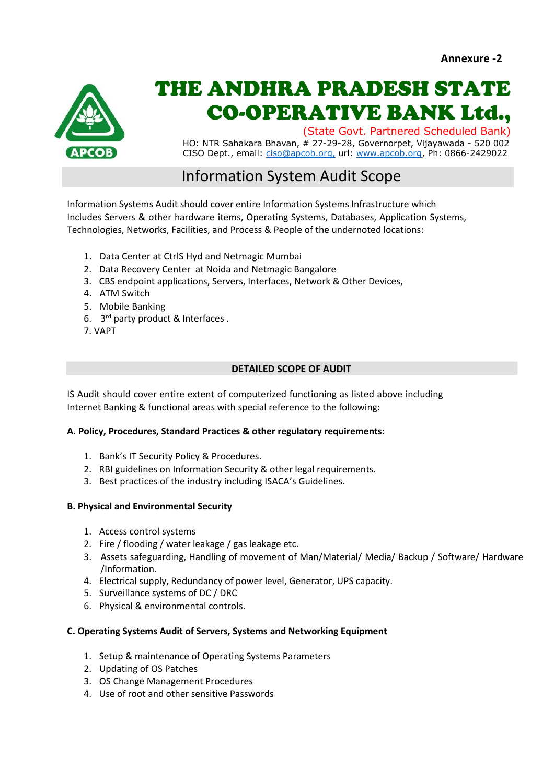

# THE ANDHRA PRADESH STATE CO-OPERATIVE BANK Ltd.,

(State Govt. Partnered Scheduled Bank)

HO: NTR Sahakara Bhavan, # 27-29-28, Governorpet, Vijayawada - 520 002 CISO Dept., email: [ciso@apcob.org,](mailto:ciso@apcob.org,) url: [www.apcob.org,](http://www.apcob.org/) Ph: 0866-2429022

## Information System Audit Scope

Information Systems Audit should cover entire Information Systems Infrastructure which Includes Servers & other hardware items, Operating Systems, Databases, Application Systems, Technologies, Networks, Facilities, and Process & People of the undernoted locations:

- 1. Data Center at CtrlS Hyd and Netmagic Mumbai
- 2. Data Recovery Center at Noida and Netmagic Bangalore
- 3. CBS endpoint applications, Servers, Interfaces, Network & Other Devices,
- 4. ATM Switch
- 5. Mobile Banking
- 6. 3 rd party product & Interfaces .
- 7. VAPT

#### **DETAILED SCOPE OF AUDIT**

IS Audit should cover entire extent of computerized functioning as listed above including Internet Banking & functional areas with special reference to the following:

#### **A. Policy, Procedures, Standard Practices & other regulatory requirements:**

- 1. Bank's IT Security Policy & Procedures.
- 2. RBI guidelines on Information Security & other legal requirements.
- 3. Best practices of the industry including ISACA's Guidelines.

#### **B. Physical and Environmental Security**

- 1. Access control systems
- 2. Fire / flooding / water leakage / gas leakage etc.
- 3. Assets safeguarding, Handling of movement of Man/Material/ Media/ Backup / Software/ Hardware /Information.
- 4. Electrical supply, Redundancy of power level, Generator, UPS capacity.
- 5. Surveillance systems of DC / DRC
- 6. Physical & environmental controls.

#### **C. Operating Systems Audit of Servers, Systems and Networking Equipment**

- 1. Setup & maintenance of Operating Systems Parameters
- 2. Updating of OS Patches
- 3. OS Change Management Procedures
- 4. Use of root and other sensitive Passwords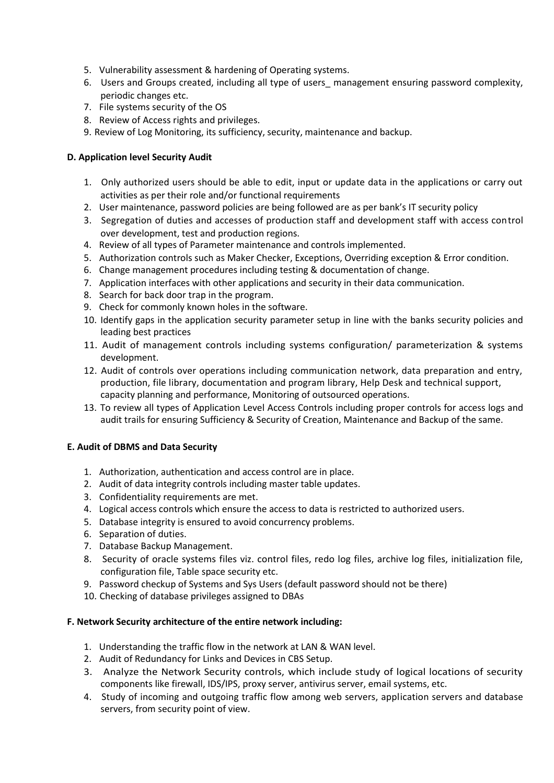- 5. Vulnerability assessment & hardening of Operating systems.
- 6. Users and Groups created, including all type of users\_ management ensuring password complexity, periodic changes etc.
- 7. File systems security of the OS
- 8. Review of Access rights and privileges.
- 9. Review of Log Monitoring, its sufficiency, security, maintenance and backup.

#### **D. Application level Security Audit**

- 1. Only authorized users should be able to edit, input or update data in the applications or carry out activities as per their role and/or functional requirements
- 2. User maintenance, password policies are being followed are as per bank's IT security policy
- 3. Segregation of duties and accesses of production staff and development staff with access control over development, test and production regions.
- 4. Review of all types of Parameter maintenance and controls implemented.
- 5. Authorization controls such as Maker Checker, Exceptions, Overriding exception & Error condition.
- 6. Change management procedures including testing & documentation of change.
- 7. Application interfaces with other applications and security in their data communication.
- 8. Search for back door trap in the program.
- 9. Check for commonly known holes in the software.
- 10. Identify gaps in the application security parameter setup in line with the banks security policies and leading best practices
- 11. Audit of management controls including systems configuration/ parameterization & systems development.
- 12. Audit of controls over operations including communication network, data preparation and entry, production, file library, documentation and program library, Help Desk and technical support, capacity planning and performance, Monitoring of outsourced operations.
- 13. To review all types of Application Level Access Controls including proper controls for access logs and audit trails for ensuring Sufficiency & Security of Creation, Maintenance and Backup of the same.

#### **E. Audit of DBMS and Data Security**

- 1. Authorization, authentication and access control are in place.
- 2. Audit of data integrity controls including master table updates.
- 3. Confidentiality requirements are met.
- 4. Logical access controls which ensure the access to data is restricted to authorized users.
- 5. Database integrity is ensured to avoid concurrency problems.
- 6. Separation of duties.
- 7. Database Backup Management.
- 8. Security of oracle systems files viz. control files, redo log files, archive log files, initialization file, configuration file, Table space security etc.
- 9. Password checkup of Systems and Sys Users (default password should not be there)
- 10. Checking of database privileges assigned to DBAs

#### **F. Network Security architecture of the entire network including:**

- 1. Understanding the traffic flow in the network at LAN & WAN level.
- 2. Audit of Redundancy for Links and Devices in CBS Setup.
- 3. Analyze the Network Security controls, which include study of logical locations of security components like firewall, IDS/IPS, proxy server, antivirus server, email systems, etc.
- 4. Study of incoming and outgoing traffic flow among web servers, application servers and database servers, from security point of view.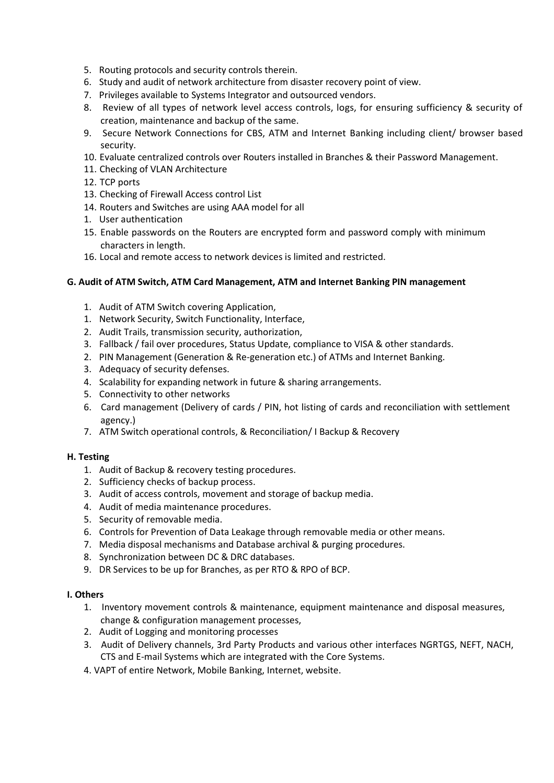- 5. Routing protocols and security controls therein.
- 6. Study and audit of network architecture from disaster recovery point of view.
- 7. Privileges available to Systems Integrator and outsourced vendors.
- 8. Review of all types of network level access controls, logs, for ensuring sufficiency & security of creation, maintenance and backup of the same.
- 9. Secure Network Connections for CBS, ATM and Internet Banking including client/ browser based security.
- 10. Evaluate centralized controls over Routers installed in Branches & their Password Management.
- 11. Checking of VLAN Architecture
- 12. TCP ports
- 13. Checking of Firewall Access control List
- 14. Routers and Switches are using AAA model for all
- 1. User authentication
- 15. Enable passwords on the Routers are encrypted form and password comply with minimum characters in length.
- 16. Local and remote access to network devices is limited and restricted.

#### **G. Audit of ATM Switch, ATM Card Management, ATM and Internet Banking PIN management**

- 1. Audit of ATM Switch covering Application,
- 1. Network Security, Switch Functionality, Interface,
- 2. Audit Trails, transmission security, authorization,
- 3. Fallback / fail over procedures, Status Update, compliance to VISA & other standards.
- 2. PIN Management (Generation & Re-generation etc.) of ATMs and Internet Banking.
- 3. Adequacy of security defenses.
- 4. Scalability for expanding network in future & sharing arrangements.
- 5. Connectivity to other networks
- 6. Card management (Delivery of cards / PIN, hot listing of cards and reconciliation with settlement agency.)
- 7. ATM Switch operational controls, & Reconciliation/ I Backup & Recovery

#### **H. Testing**

- 1. Audit of Backup & recovery testing procedures.
- 2. Sufficiency checks of backup process.
- 3. Audit of access controls, movement and storage of backup media.
- 4. Audit of media maintenance procedures.
- 5. Security of removable media.
- 6. Controls for Prevention of Data Leakage through removable media or other means.
- 7. Media disposal mechanisms and Database archival & purging procedures.
- 8. Synchronization between DC & DRC databases.
- 9. DR Services to be up for Branches, as per RTO & RPO of BCP.

#### **I. Others**

- 1. Inventory movement controls & maintenance, equipment maintenance and disposal measures, change & configuration management processes,
- 2. Audit of Logging and monitoring processes
- 3. Audit of Delivery channels, 3rd Party Products and various other interfaces NGRTGS, NEFT, NACH, CTS and E-mail Systems which are integrated with the Core Systems.
- 4. VAPT of entire Network, Mobile Banking, Internet, website.